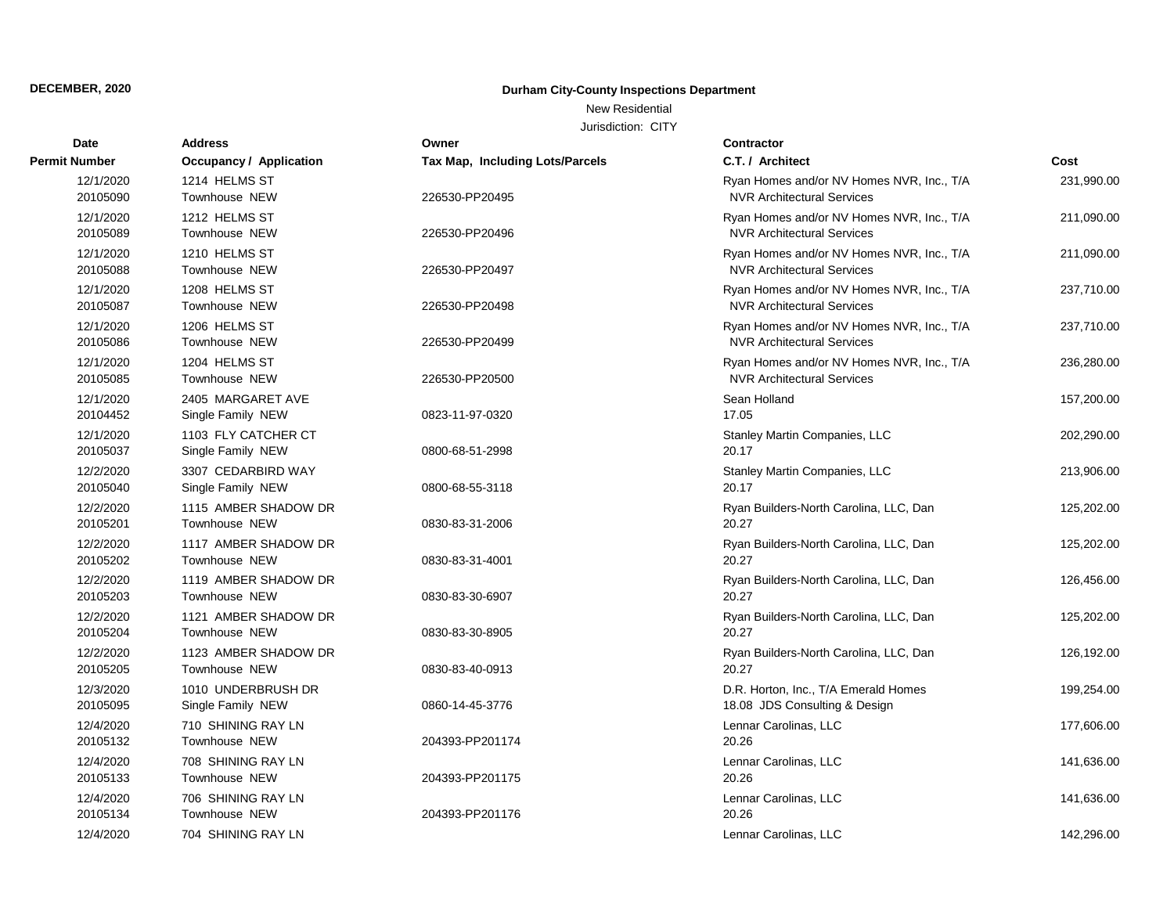New Residential

| Date                  | <b>Address</b>                           | Owner                           | Contractor                                                                     |            |
|-----------------------|------------------------------------------|---------------------------------|--------------------------------------------------------------------------------|------------|
| <b>Permit Number</b>  | <b>Occupancy / Application</b>           | Tax Map, Including Lots/Parcels | C.T. / Architect                                                               | Cost       |
| 12/1/2020<br>20105090 | 1214 HELMS ST<br>Townhouse NEW           | 226530-PP20495                  | Ryan Homes and/or NV Homes NVR, Inc., T/A<br><b>NVR Architectural Services</b> | 231,990.00 |
| 12/1/2020<br>20105089 | 1212 HELMS ST<br>Townhouse NEW           | 226530-PP20496                  | Ryan Homes and/or NV Homes NVR, Inc., T/A<br><b>NVR Architectural Services</b> | 211,090.00 |
| 12/1/2020<br>20105088 | 1210 HELMS ST<br>Townhouse NEW           | 226530-PP20497                  | Ryan Homes and/or NV Homes NVR, Inc., T/A<br><b>NVR Architectural Services</b> | 211,090.00 |
| 12/1/2020<br>20105087 | 1208 HELMS ST<br>Townhouse NEW           | 226530-PP20498                  | Ryan Homes and/or NV Homes NVR, Inc., T/A<br><b>NVR Architectural Services</b> | 237,710.00 |
| 12/1/2020<br>20105086 | 1206 HELMS ST<br>Townhouse NEW           | 226530-PP20499                  | Ryan Homes and/or NV Homes NVR, Inc., T/A<br><b>NVR Architectural Services</b> | 237,710.00 |
| 12/1/2020<br>20105085 | 1204 HELMS ST<br>Townhouse NEW           | 226530-PP20500                  | Ryan Homes and/or NV Homes NVR, Inc., T/A<br><b>NVR Architectural Services</b> | 236,280.00 |
| 12/1/2020<br>20104452 | 2405 MARGARET AVE<br>Single Family NEW   | 0823-11-97-0320                 | Sean Holland<br>17.05                                                          | 157,200.00 |
| 12/1/2020<br>20105037 | 1103 FLY CATCHER CT<br>Single Family NEW | 0800-68-51-2998                 | Stanley Martin Companies, LLC<br>20.17                                         | 202,290.00 |
| 12/2/2020<br>20105040 | 3307 CEDARBIRD WAY<br>Single Family NEW  | 0800-68-55-3118                 | Stanley Martin Companies, LLC<br>20.17                                         | 213,906.00 |
| 12/2/2020<br>20105201 | 1115 AMBER SHADOW DR<br>Townhouse NEW    | 0830-83-31-2006                 | Ryan Builders-North Carolina, LLC, Dan<br>20.27                                | 125,202.00 |
| 12/2/2020<br>20105202 | 1117 AMBER SHADOW DR<br>Townhouse NEW    | 0830-83-31-4001                 | Ryan Builders-North Carolina, LLC, Dan<br>20.27                                | 125,202.00 |
| 12/2/2020<br>20105203 | 1119 AMBER SHADOW DR<br>Townhouse NEW    | 0830-83-30-6907                 | Ryan Builders-North Carolina, LLC, Dan<br>20.27                                | 126,456.00 |
| 12/2/2020<br>20105204 | 1121 AMBER SHADOW DR<br>Townhouse NEW    | 0830-83-30-8905                 | Ryan Builders-North Carolina, LLC, Dan<br>20.27                                | 125,202.00 |
| 12/2/2020<br>20105205 | 1123 AMBER SHADOW DR<br>Townhouse NEW    | 0830-83-40-0913                 | Ryan Builders-North Carolina, LLC, Dan<br>20.27                                | 126,192.00 |
| 12/3/2020<br>20105095 | 1010 UNDERBRUSH DR<br>Single Family NEW  | 0860-14-45-3776                 | D.R. Horton, Inc., T/A Emerald Homes<br>18.08 JDS Consulting & Design          | 199,254.00 |
| 12/4/2020<br>20105132 | 710 SHINING RAY LN<br>Townhouse NEW      | 204393-PP201174                 | Lennar Carolinas, LLC<br>20.26                                                 | 177,606.00 |
| 12/4/2020<br>20105133 | 708 SHINING RAY LN<br>Townhouse NEW      | 204393-PP201175                 | Lennar Carolinas, LLC<br>20.26                                                 | 141,636.00 |
| 12/4/2020<br>20105134 | 706 SHINING RAY LN<br>Townhouse NEW      | 204393-PP201176                 | Lennar Carolinas, LLC<br>20.26                                                 | 141,636.00 |
| 12/4/2020             | 704 SHINING RAY LN                       |                                 | Lennar Carolinas, LLC                                                          | 142,296.00 |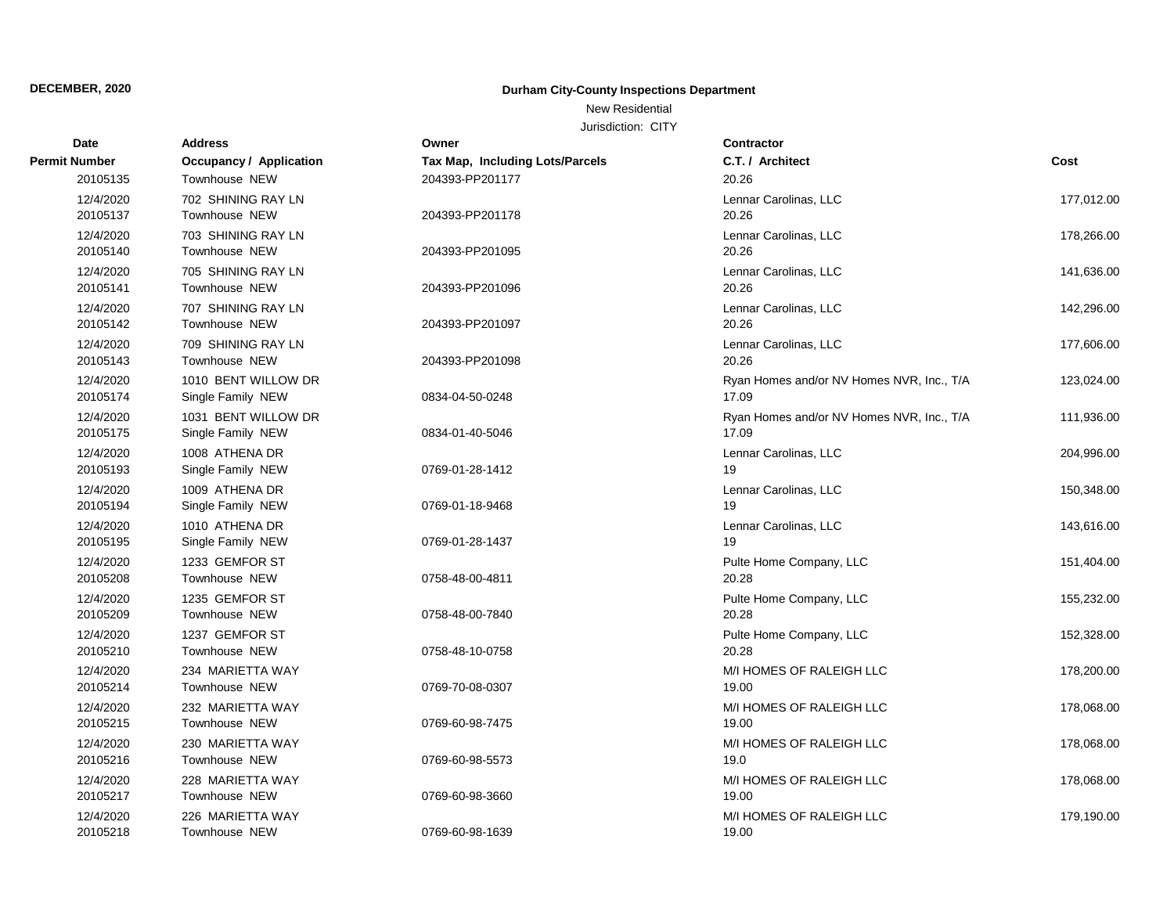## New Residential

| Date                  | <b>Address</b>                             | Owner                           | <b>Contractor</b>                                  |            |
|-----------------------|--------------------------------------------|---------------------------------|----------------------------------------------------|------------|
| Permit Number         | Occupancy / Application                    | Tax Map, Including Lots/Parcels | C.T. / Architect                                   | Cost       |
| 20105135              | Townhouse NEW                              | 204393-PP201177                 | 20.26                                              |            |
| 12/4/2020<br>20105137 | 702 SHINING RAY LN<br><b>Townhouse NEW</b> | 204393-PP201178                 | Lennar Carolinas, LLC<br>20.26                     | 177,012.00 |
| 12/4/2020<br>20105140 | 703 SHINING RAY LN<br>Townhouse NEW        | 204393-PP201095                 | Lennar Carolinas, LLC<br>20.26                     | 178,266.00 |
| 12/4/2020<br>20105141 | 705 SHINING RAY LN<br>Townhouse NEW        | 204393-PP201096                 | Lennar Carolinas, LLC<br>20.26                     | 141,636.00 |
| 12/4/2020<br>20105142 | 707 SHINING RAY LN<br>Townhouse NEW        | 204393-PP201097                 | Lennar Carolinas, LLC<br>20.26                     | 142,296.00 |
| 12/4/2020<br>20105143 | 709 SHINING RAY LN<br>Townhouse NEW        | 204393-PP201098                 | Lennar Carolinas, LLC<br>20.26                     | 177,606.00 |
| 12/4/2020<br>20105174 | 1010 BENT WILLOW DR<br>Single Family NEW   | 0834-04-50-0248                 | Ryan Homes and/or NV Homes NVR, Inc., T/A<br>17.09 | 123,024.00 |
| 12/4/2020<br>20105175 | 1031 BENT WILLOW DR<br>Single Family NEW   | 0834-01-40-5046                 | Ryan Homes and/or NV Homes NVR, Inc., T/A<br>17.09 | 111,936.00 |
| 12/4/2020<br>20105193 | 1008 ATHENA DR<br>Single Family NEW        | 0769-01-28-1412                 | Lennar Carolinas, LLC<br>19                        | 204,996.00 |
| 12/4/2020<br>20105194 | 1009 ATHENA DR<br>Single Family NEW        | 0769-01-18-9468                 | Lennar Carolinas, LLC<br>19                        | 150,348.00 |
| 12/4/2020<br>20105195 | 1010 ATHENA DR<br>Single Family NEW        | 0769-01-28-1437                 | Lennar Carolinas, LLC<br>19                        | 143,616.00 |
| 12/4/2020<br>20105208 | 1233 GEMFOR ST<br>Townhouse NEW            | 0758-48-00-4811                 | Pulte Home Company, LLC<br>20.28                   | 151,404.00 |
| 12/4/2020<br>20105209 | 1235 GEMFOR ST<br>Townhouse NEW            | 0758-48-00-7840                 | Pulte Home Company, LLC<br>20.28                   | 155,232.00 |
| 12/4/2020<br>20105210 | 1237 GEMFOR ST<br>Townhouse NEW            | 0758-48-10-0758                 | Pulte Home Company, LLC<br>20.28                   | 152,328.00 |
| 12/4/2020<br>20105214 | 234 MARIETTA WAY<br>Townhouse NEW          | 0769-70-08-0307                 | M/I HOMES OF RALEIGH LLC<br>19.00                  | 178,200.00 |
| 12/4/2020<br>20105215 | 232 MARIETTA WAY<br>Townhouse NEW          | 0769-60-98-7475                 | M/I HOMES OF RALEIGH LLC<br>19.00                  | 178,068.00 |
| 12/4/2020<br>20105216 | 230 MARIETTA WAY<br>Townhouse NEW          | 0769-60-98-5573                 | M/I HOMES OF RALEIGH LLC<br>19.0                   | 178,068.00 |
| 12/4/2020<br>20105217 | 228 MARIETTA WAY<br>Townhouse NEW          | 0769-60-98-3660                 | M/I HOMES OF RALEIGH LLC<br>19.00                  | 178,068.00 |
| 12/4/2020<br>20105218 | 226 MARIETTA WAY<br>Townhouse NEW          | 0769-60-98-1639                 | M/I HOMES OF RALEIGH LLC<br>19.00                  | 179,190.00 |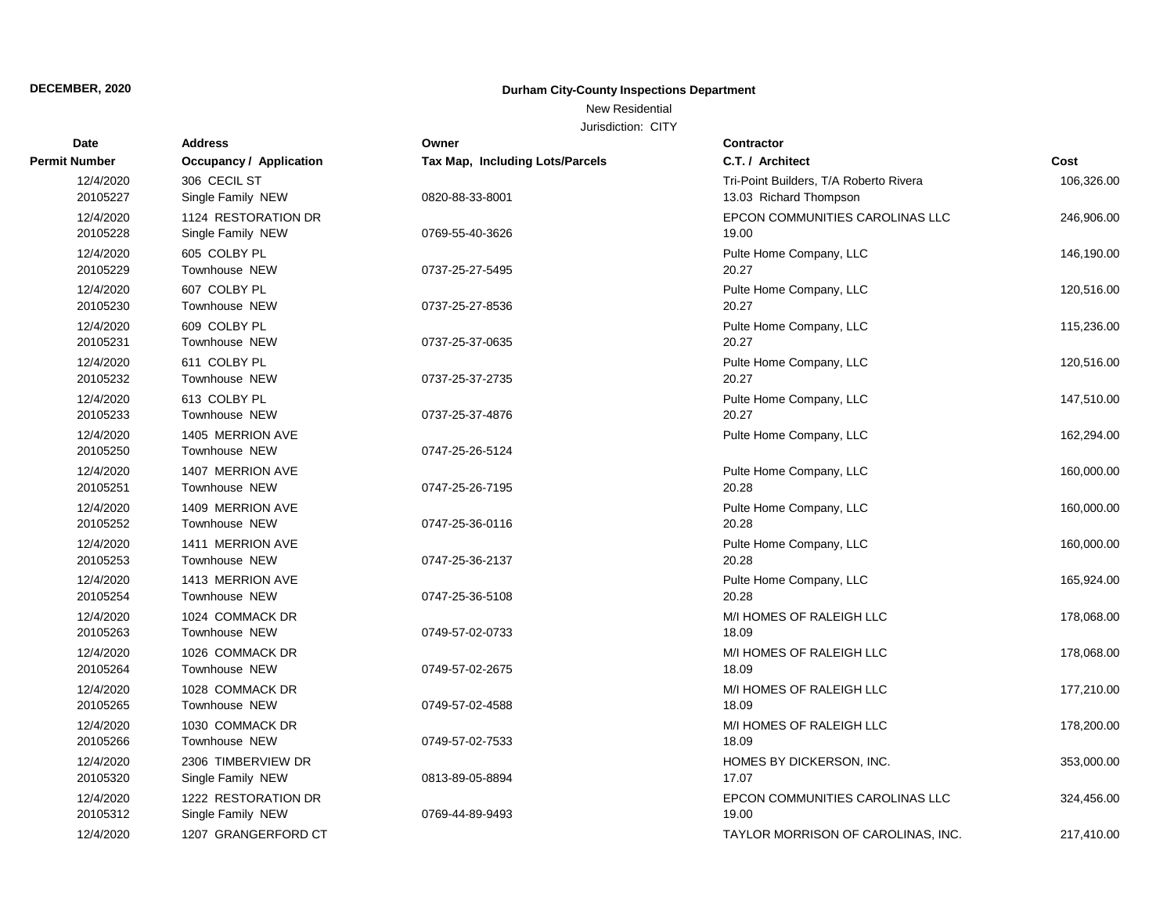New Residential

| Date                  | <b>Address</b>                           | Owner                           | <b>Contractor</b>                                                |            |
|-----------------------|------------------------------------------|---------------------------------|------------------------------------------------------------------|------------|
| <b>Permit Number</b>  | <b>Occupancy / Application</b>           | Tax Map, Including Lots/Parcels | C.T. / Architect                                                 | Cost       |
| 12/4/2020<br>20105227 | 306 CECIL ST<br>Single Family NEW        | 0820-88-33-8001                 | Tri-Point Builders, T/A Roberto Rivera<br>13.03 Richard Thompson | 106,326.00 |
| 12/4/2020<br>20105228 | 1124 RESTORATION DR<br>Single Family NEW | 0769-55-40-3626                 | EPCON COMMUNITIES CAROLINAS LLC<br>19.00                         | 246,906.00 |
| 12/4/2020<br>20105229 | 605 COLBY PL<br>Townhouse NEW            | 0737-25-27-5495                 | Pulte Home Company, LLC<br>20.27                                 | 146,190.00 |
| 12/4/2020<br>20105230 | 607 COLBY PL<br>Townhouse NEW            | 0737-25-27-8536                 | Pulte Home Company, LLC<br>20.27                                 | 120,516.00 |
| 12/4/2020<br>20105231 | 609 COLBY PL<br>Townhouse NEW            | 0737-25-37-0635                 | Pulte Home Company, LLC<br>20.27                                 | 115,236.00 |
| 12/4/2020<br>20105232 | 611 COLBY PL<br>Townhouse NEW            | 0737-25-37-2735                 | Pulte Home Company, LLC<br>20.27                                 | 120,516.00 |
| 12/4/2020<br>20105233 | 613 COLBY PL<br><b>Townhouse NEW</b>     | 0737-25-37-4876                 | Pulte Home Company, LLC<br>20.27                                 | 147,510.00 |
| 12/4/2020<br>20105250 | 1405 MERRION AVE<br>Townhouse NEW        | 0747-25-26-5124                 | Pulte Home Company, LLC                                          | 162,294.00 |
| 12/4/2020<br>20105251 | 1407 MERRION AVE<br><b>Townhouse NEW</b> | 0747-25-26-7195                 | Pulte Home Company, LLC<br>20.28                                 | 160,000.00 |
| 12/4/2020<br>20105252 | 1409 MERRION AVE<br><b>Townhouse NEW</b> | 0747-25-36-0116                 | Pulte Home Company, LLC<br>20.28                                 | 160,000.00 |
| 12/4/2020<br>20105253 | 1411 MERRION AVE<br><b>Townhouse NEW</b> | 0747-25-36-2137                 | Pulte Home Company, LLC<br>20.28                                 | 160,000.00 |
| 12/4/2020<br>20105254 | 1413 MERRION AVE<br>Townhouse NEW        | 0747-25-36-5108                 | Pulte Home Company, LLC<br>20.28                                 | 165,924.00 |
| 12/4/2020<br>20105263 | 1024 COMMACK DR<br><b>Townhouse NEW</b>  | 0749-57-02-0733                 | M/I HOMES OF RALEIGH LLC<br>18.09                                | 178,068.00 |
| 12/4/2020<br>20105264 | 1026 COMMACK DR<br>Townhouse NEW         | 0749-57-02-2675                 | M/I HOMES OF RALEIGH LLC<br>18.09                                | 178,068.00 |
| 12/4/2020<br>20105265 | 1028 COMMACK DR<br><b>Townhouse NEW</b>  | 0749-57-02-4588                 | M/I HOMES OF RALEIGH LLC<br>18.09                                | 177,210.00 |
| 12/4/2020<br>20105266 | 1030 COMMACK DR<br><b>Townhouse NEW</b>  | 0749-57-02-7533                 | M/I HOMES OF RALEIGH LLC<br>18.09                                | 178,200.00 |
| 12/4/2020<br>20105320 | 2306 TIMBERVIEW DR<br>Single Family NEW  | 0813-89-05-8894                 | HOMES BY DICKERSON, INC.<br>17.07                                | 353,000.00 |
| 12/4/2020<br>20105312 | 1222 RESTORATION DR<br>Single Family NEW | 0769-44-89-9493                 | EPCON COMMUNITIES CAROLINAS LLC<br>19.00                         | 324,456.00 |
| 12/4/2020             | 1207 GRANGERFORD CT                      |                                 | TAYLOR MORRISON OF CAROLINAS, INC.                               | 217,410.00 |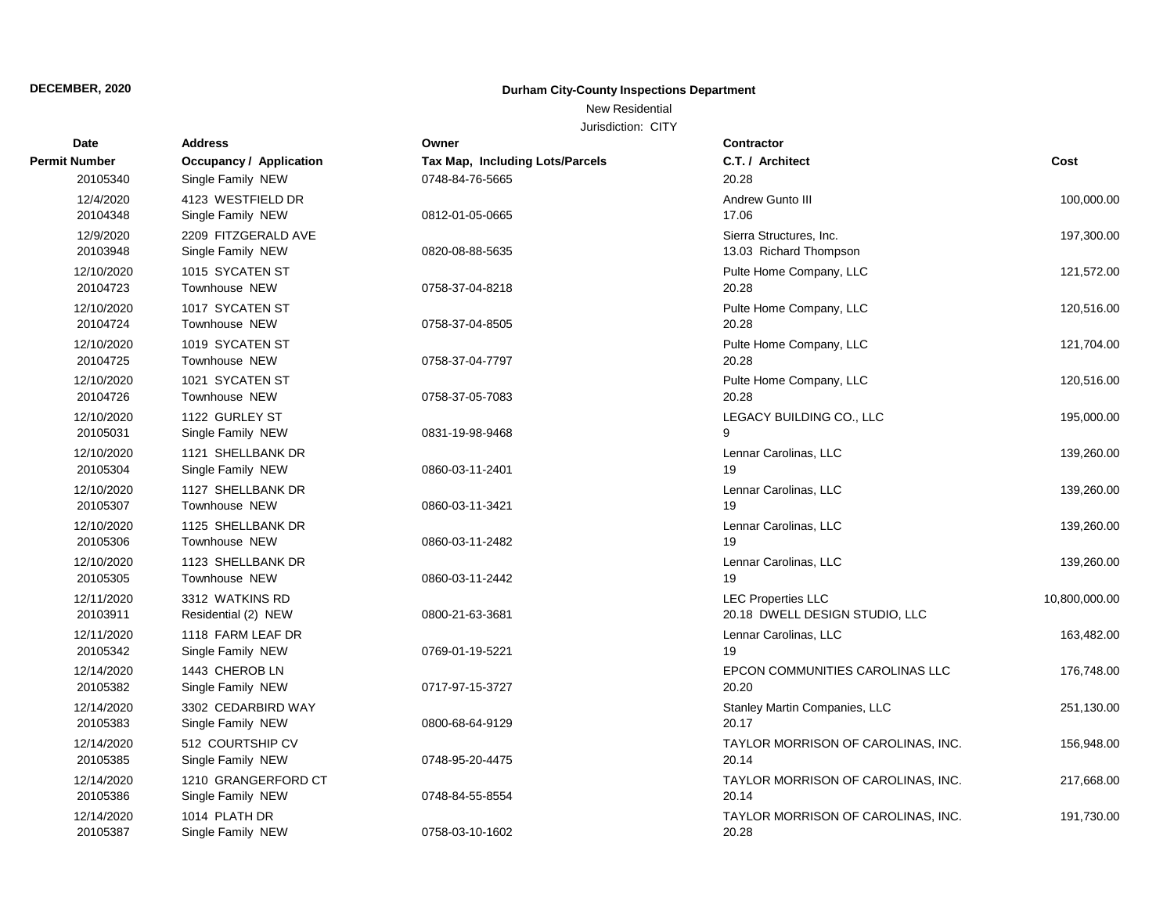## New Residential

| Date                   | <b>Address</b>                           | Owner                                  | <b>Contractor</b>                                           |               |
|------------------------|------------------------------------------|----------------------------------------|-------------------------------------------------------------|---------------|
| Permit Number          | Occupancy / Application                  | <b>Tax Map, Including Lots/Parcels</b> | C.T. / Architect                                            | Cost          |
| 20105340               | Single Family NEW                        | 0748-84-76-5665                        | 20.28                                                       |               |
| 12/4/2020<br>20104348  | 4123 WESTFIELD DR<br>Single Family NEW   | 0812-01-05-0665                        | Andrew Gunto III<br>17.06                                   | 100,000.00    |
| 12/9/2020<br>20103948  | 2209 FITZGERALD AVE<br>Single Family NEW | 0820-08-88-5635                        | Sierra Structures, Inc.<br>13.03 Richard Thompson           | 197,300.00    |
| 12/10/2020<br>20104723 | 1015 SYCATEN ST<br>Townhouse NEW         | 0758-37-04-8218                        | Pulte Home Company, LLC<br>20.28                            | 121,572.00    |
| 12/10/2020<br>20104724 | 1017 SYCATEN ST<br>Townhouse NEW         | 0758-37-04-8505                        | Pulte Home Company, LLC<br>20.28                            | 120,516.00    |
| 12/10/2020<br>20104725 | 1019 SYCATEN ST<br>Townhouse NEW         | 0758-37-04-7797                        | Pulte Home Company, LLC<br>20.28                            | 121,704.00    |
| 12/10/2020<br>20104726 | 1021 SYCATEN ST<br>Townhouse NEW         | 0758-37-05-7083                        | Pulte Home Company, LLC<br>20.28                            | 120,516.00    |
| 12/10/2020<br>20105031 | 1122 GURLEY ST<br>Single Family NEW      | 0831-19-98-9468                        | LEGACY BUILDING CO., LLC<br>9                               | 195,000.00    |
| 12/10/2020<br>20105304 | 1121 SHELLBANK DR<br>Single Family NEW   | 0860-03-11-2401                        | Lennar Carolinas, LLC<br>19                                 | 139,260.00    |
| 12/10/2020<br>20105307 | 1127 SHELLBANK DR<br>Townhouse NEW       | 0860-03-11-3421                        | Lennar Carolinas, LLC<br>19                                 | 139,260.00    |
| 12/10/2020<br>20105306 | 1125 SHELLBANK DR<br>Townhouse NEW       | 0860-03-11-2482                        | Lennar Carolinas, LLC<br>19                                 | 139,260.00    |
| 12/10/2020<br>20105305 | 1123 SHELLBANK DR<br>Townhouse NEW       | 0860-03-11-2442                        | Lennar Carolinas, LLC<br>19                                 | 139,260.00    |
| 12/11/2020<br>20103911 | 3312 WATKINS RD<br>Residential (2) NEW   | 0800-21-63-3681                        | <b>LEC Properties LLC</b><br>20.18 DWELL DESIGN STUDIO, LLC | 10,800,000.00 |
| 12/11/2020<br>20105342 | 1118 FARM LEAF DR<br>Single Family NEW   | 0769-01-19-5221                        | Lennar Carolinas, LLC<br>19                                 | 163,482.00    |
| 12/14/2020<br>20105382 | 1443 CHEROB LN<br>Single Family NEW      | 0717-97-15-3727                        | EPCON COMMUNITIES CAROLINAS LLC<br>20.20                    | 176,748.00    |
| 12/14/2020<br>20105383 | 3302 CEDARBIRD WAY<br>Single Family NEW  | 0800-68-64-9129                        | Stanley Martin Companies, LLC<br>20.17                      | 251,130.00    |
| 12/14/2020<br>20105385 | 512 COURTSHIP CV<br>Single Family NEW    | 0748-95-20-4475                        | TAYLOR MORRISON OF CAROLINAS, INC.<br>20.14                 | 156,948.00    |
| 12/14/2020<br>20105386 | 1210 GRANGERFORD CT<br>Single Family NEW | 0748-84-55-8554                        | TAYLOR MORRISON OF CAROLINAS, INC.<br>20.14                 | 217,668.00    |
| 12/14/2020<br>20105387 | 1014 PLATH DR<br>Single Family NEW       | 0758-03-10-1602                        | TAYLOR MORRISON OF CAROLINAS, INC.<br>20.28                 | 191,730.00    |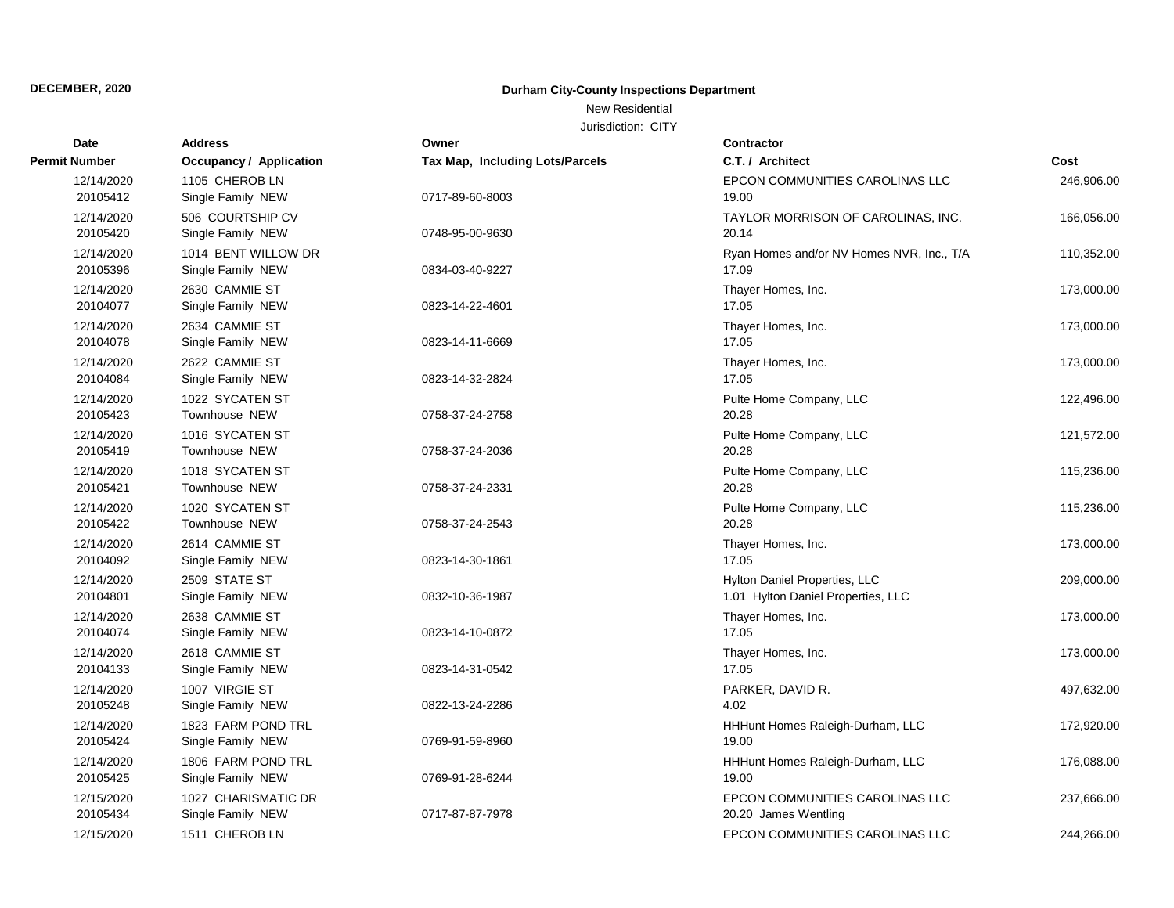New Residential

| Date                   | <b>Address</b>                           | Owner                                  | <b>Contractor</b>                                                   |            |
|------------------------|------------------------------------------|----------------------------------------|---------------------------------------------------------------------|------------|
| <b>Permit Number</b>   | Occupancy / Application                  | <b>Tax Map, Including Lots/Parcels</b> | C.T. / Architect                                                    | Cost       |
| 12/14/2020<br>20105412 | 1105 CHEROB LN<br>Single Family NEW      | 0717-89-60-8003                        | EPCON COMMUNITIES CAROLINAS LLC<br>19.00                            | 246,906.00 |
| 12/14/2020<br>20105420 | 506 COURTSHIP CV<br>Single Family NEW    | 0748-95-00-9630                        | TAYLOR MORRISON OF CAROLINAS, INC.<br>20.14                         | 166,056.00 |
| 12/14/2020<br>20105396 | 1014 BENT WILLOW DR<br>Single Family NEW | 0834-03-40-9227                        | Ryan Homes and/or NV Homes NVR, Inc., T/A<br>17.09                  | 110,352.00 |
| 12/14/2020<br>20104077 | 2630 CAMMIE ST<br>Single Family NEW      | 0823-14-22-4601                        | Thayer Homes, Inc.<br>17.05                                         | 173,000.00 |
| 12/14/2020<br>20104078 | 2634 CAMMIE ST<br>Single Family NEW      | 0823-14-11-6669                        | Thayer Homes, Inc.<br>17.05                                         | 173,000.00 |
| 12/14/2020<br>20104084 | 2622 CAMMIE ST<br>Single Family NEW      | 0823-14-32-2824                        | Thayer Homes, Inc.<br>17.05                                         | 173,000.00 |
| 12/14/2020<br>20105423 | 1022 SYCATEN ST<br>Townhouse NEW         | 0758-37-24-2758                        | Pulte Home Company, LLC<br>20.28                                    | 122,496.00 |
| 12/14/2020<br>20105419 | 1016 SYCATEN ST<br><b>Townhouse NEW</b>  | 0758-37-24-2036                        | Pulte Home Company, LLC<br>20.28                                    | 121,572.00 |
| 12/14/2020<br>20105421 | 1018 SYCATEN ST<br>Townhouse NEW         | 0758-37-24-2331                        | Pulte Home Company, LLC<br>20.28                                    | 115,236.00 |
| 12/14/2020<br>20105422 | 1020 SYCATEN ST<br>Townhouse NEW         | 0758-37-24-2543                        | Pulte Home Company, LLC<br>20.28                                    | 115,236.00 |
| 12/14/2020<br>20104092 | 2614 CAMMIE ST<br>Single Family NEW      | 0823-14-30-1861                        | Thayer Homes, Inc.<br>17.05                                         | 173,000.00 |
| 12/14/2020<br>20104801 | 2509 STATE ST<br>Single Family NEW       | 0832-10-36-1987                        | Hylton Daniel Properties, LLC<br>1.01 Hylton Daniel Properties, LLC | 209,000.00 |
| 12/14/2020<br>20104074 | 2638 CAMMIE ST<br>Single Family NEW      | 0823-14-10-0872                        | Thayer Homes, Inc.<br>17.05                                         | 173,000.00 |
| 12/14/2020<br>20104133 | 2618 CAMMIE ST<br>Single Family NEW      | 0823-14-31-0542                        | Thayer Homes, Inc.<br>17.05                                         | 173,000.00 |
| 12/14/2020<br>20105248 | 1007 VIRGIE ST<br>Single Family NEW      | 0822-13-24-2286                        | PARKER, DAVID R.<br>4.02                                            | 497,632.00 |
| 12/14/2020<br>20105424 | 1823 FARM POND TRL<br>Single Family NEW  | 0769-91-59-8960                        | HHHunt Homes Raleigh-Durham, LLC<br>19.00                           | 172,920.00 |
| 12/14/2020<br>20105425 | 1806 FARM POND TRL<br>Single Family NEW  | 0769-91-28-6244                        | HHHunt Homes Raleigh-Durham, LLC<br>19.00                           | 176,088.00 |
| 12/15/2020<br>20105434 | 1027 CHARISMATIC DR<br>Single Family NEW | 0717-87-87-7978                        | EPCON COMMUNITIES CAROLINAS LLC<br>20.20 James Wentling             | 237,666.00 |
| 12/15/2020             | 1511 CHEROB LN                           |                                        | EPCON COMMUNITIES CAROLINAS LLC                                     | 244,266.00 |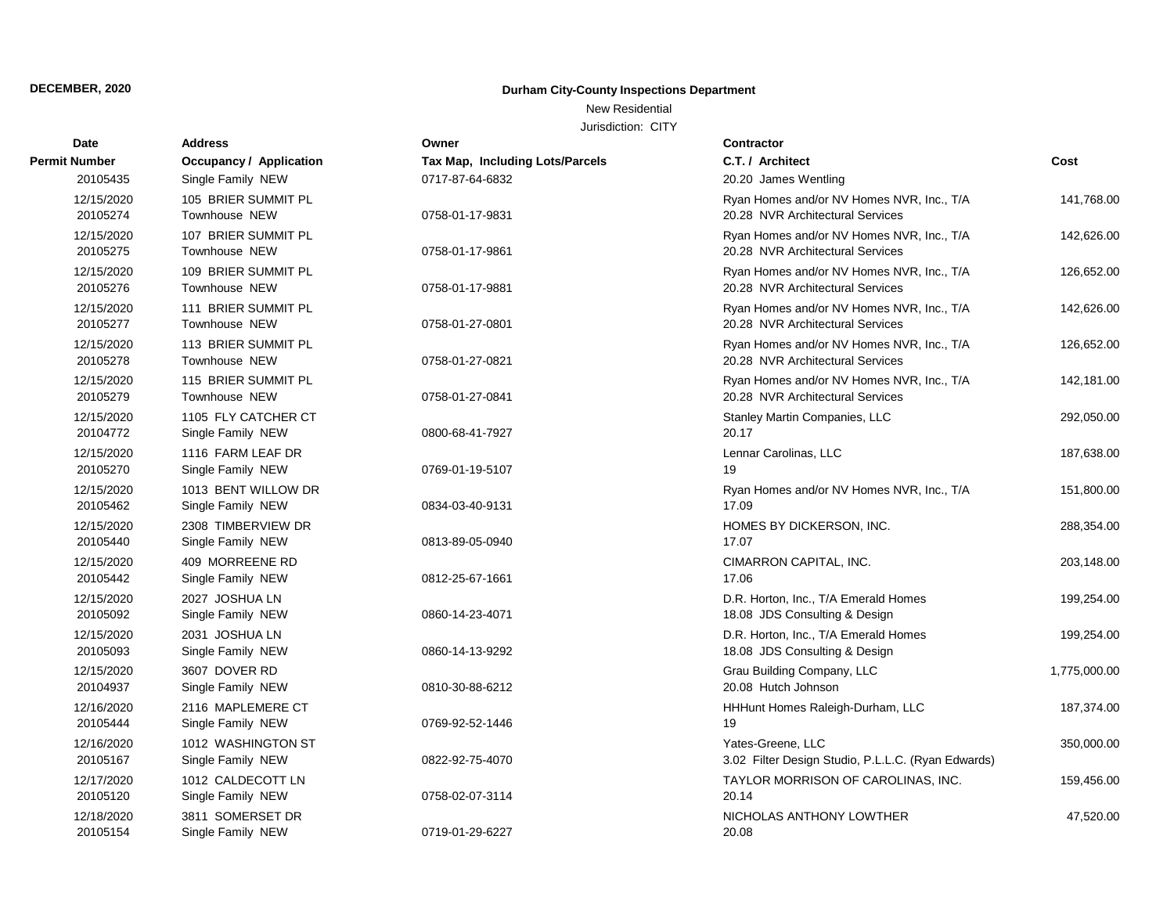## New Residential

| <b>Date</b>            | <b>Address</b>                           | Owner                           | <b>Contractor</b>                                                             |              |
|------------------------|------------------------------------------|---------------------------------|-------------------------------------------------------------------------------|--------------|
| Permit Number          | <b>Occupancy / Application</b>           | Tax Map, Including Lots/Parcels | C.T. / Architect                                                              | Cost         |
| 20105435               | Single Family NEW                        | 0717-87-64-6832                 | 20.20 James Wentling                                                          |              |
| 12/15/2020<br>20105274 | 105 BRIER SUMMIT PL<br>Townhouse NEW     | 0758-01-17-9831                 | Ryan Homes and/or NV Homes NVR, Inc., T/A<br>20.28 NVR Architectural Services | 141,768.00   |
| 12/15/2020<br>20105275 | 107 BRIER SUMMIT PL<br>Townhouse NEW     | 0758-01-17-9861                 | Ryan Homes and/or NV Homes NVR, Inc., T/A<br>20.28 NVR Architectural Services | 142,626.00   |
| 12/15/2020<br>20105276 | 109 BRIER SUMMIT PL<br>Townhouse NEW     | 0758-01-17-9881                 | Ryan Homes and/or NV Homes NVR, Inc., T/A<br>20.28 NVR Architectural Services | 126,652.00   |
| 12/15/2020<br>20105277 | 111 BRIER SUMMIT PL<br>Townhouse NEW     | 0758-01-27-0801                 | Ryan Homes and/or NV Homes NVR, Inc., T/A<br>20.28 NVR Architectural Services | 142,626.00   |
| 12/15/2020<br>20105278 | 113 BRIER SUMMIT PL<br>Townhouse NEW     | 0758-01-27-0821                 | Ryan Homes and/or NV Homes NVR, Inc., T/A<br>20.28 NVR Architectural Services | 126,652.00   |
| 12/15/2020<br>20105279 | 115 BRIER SUMMIT PL<br>Townhouse NEW     | 0758-01-27-0841                 | Ryan Homes and/or NV Homes NVR, Inc., T/A<br>20.28 NVR Architectural Services | 142,181.00   |
| 12/15/2020<br>20104772 | 1105 FLY CATCHER CT<br>Single Family NEW | 0800-68-41-7927                 | Stanley Martin Companies, LLC<br>20.17                                        | 292,050.00   |
| 12/15/2020<br>20105270 | 1116 FARM LEAF DR<br>Single Family NEW   | 0769-01-19-5107                 | Lennar Carolinas, LLC<br>19                                                   | 187,638.00   |
| 12/15/2020<br>20105462 | 1013 BENT WILLOW DR<br>Single Family NEW | 0834-03-40-9131                 | Ryan Homes and/or NV Homes NVR, Inc., T/A<br>17.09                            | 151,800.00   |
| 12/15/2020<br>20105440 | 2308 TIMBERVIEW DR<br>Single Family NEW  | 0813-89-05-0940                 | HOMES BY DICKERSON, INC.<br>17.07                                             | 288,354.00   |
| 12/15/2020<br>20105442 | 409 MORREENE RD<br>Single Family NEW     | 0812-25-67-1661                 | CIMARRON CAPITAL, INC.<br>17.06                                               | 203,148.00   |
| 12/15/2020<br>20105092 | 2027 JOSHUA LN<br>Single Family NEW      | 0860-14-23-4071                 | D.R. Horton, Inc., T/A Emerald Homes<br>18.08 JDS Consulting & Design         | 199,254.00   |
| 12/15/2020<br>20105093 | 2031 JOSHUA LN<br>Single Family NEW      | 0860-14-13-9292                 | D.R. Horton, Inc., T/A Emerald Homes<br>18.08 JDS Consulting & Design         | 199,254.00   |
| 12/15/2020<br>20104937 | 3607 DOVER RD<br>Single Family NEW       | 0810-30-88-6212                 | Grau Building Company, LLC<br>20.08 Hutch Johnson                             | 1,775,000.00 |
| 12/16/2020<br>20105444 | 2116 MAPLEMERE CT<br>Single Family NEW   | 0769-92-52-1446                 | HHHunt Homes Raleigh-Durham, LLC<br>19                                        | 187,374.00   |
| 12/16/2020<br>20105167 | 1012 WASHINGTON ST<br>Single Family NEW  | 0822-92-75-4070                 | Yates-Greene, LLC<br>3.02 Filter Design Studio, P.L.L.C. (Ryan Edwards)       | 350,000.00   |
| 12/17/2020<br>20105120 | 1012 CALDECOTT LN<br>Single Family NEW   | 0758-02-07-3114                 | TAYLOR MORRISON OF CAROLINAS, INC.<br>20.14                                   | 159,456.00   |
| 12/18/2020<br>20105154 | 3811 SOMERSET DR<br>Single Family NEW    | 0719-01-29-6227                 | NICHOLAS ANTHONY LOWTHER<br>20.08                                             | 47,520.00    |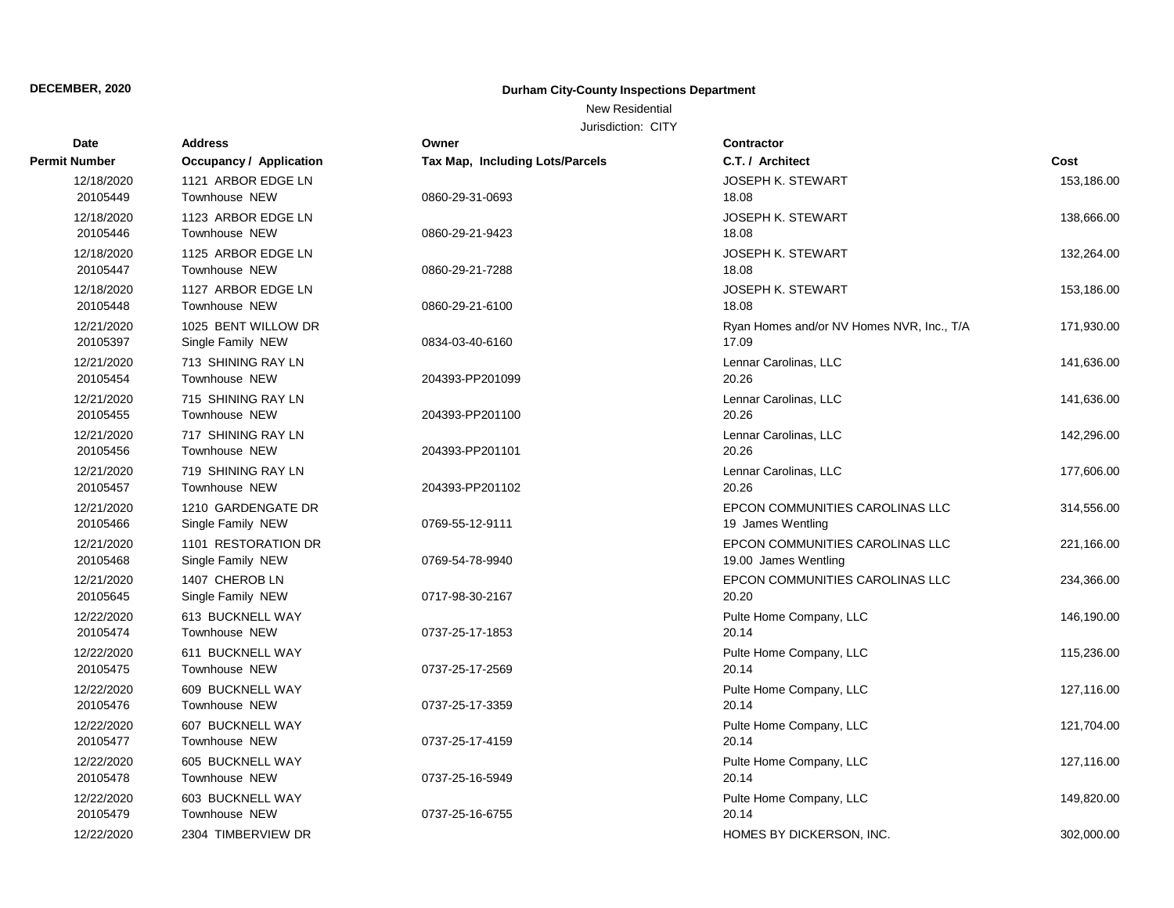New Residential

| Date                   | <b>Address</b>                             | Owner                                  | <b>Contractor</b>                                       |            |
|------------------------|--------------------------------------------|----------------------------------------|---------------------------------------------------------|------------|
| Permit Number          | Occupancy / Application                    | <b>Tax Map, Including Lots/Parcels</b> | C.T. / Architect                                        | Cost       |
| 12/18/2020<br>20105449 | 1121 ARBOR EDGE LN<br><b>Townhouse NEW</b> | 0860-29-31-0693                        | <b>JOSEPH K. STEWART</b><br>18.08                       | 153,186.00 |
| 12/18/2020<br>20105446 | 1123 ARBOR EDGE LN<br>Townhouse NEW        | 0860-29-21-9423                        | <b>JOSEPH K. STEWART</b><br>18.08                       | 138,666.00 |
| 12/18/2020<br>20105447 | 1125 ARBOR EDGE LN<br>Townhouse NEW        | 0860-29-21-7288                        | <b>JOSEPH K. STEWART</b><br>18.08                       | 132,264.00 |
| 12/18/2020<br>20105448 | 1127 ARBOR EDGE LN<br>Townhouse NEW        | 0860-29-21-6100                        | <b>JOSEPH K. STEWART</b><br>18.08                       | 153,186.00 |
| 12/21/2020<br>20105397 | 1025 BENT WILLOW DR<br>Single Family NEW   | 0834-03-40-6160                        | Ryan Homes and/or NV Homes NVR, Inc., T/A<br>17.09      | 171,930.00 |
| 12/21/2020<br>20105454 | 713 SHINING RAY LN<br>Townhouse NEW        | 204393-PP201099                        | Lennar Carolinas, LLC<br>20.26                          | 141,636.00 |
| 12/21/2020<br>20105455 | 715 SHINING RAY LN<br>Townhouse NEW        | 204393-PP201100                        | Lennar Carolinas, LLC<br>20.26                          | 141,636.00 |
| 12/21/2020<br>20105456 | 717 SHINING RAY LN<br><b>Townhouse NEW</b> | 204393-PP201101                        | Lennar Carolinas, LLC<br>20.26                          | 142,296.00 |
| 12/21/2020<br>20105457 | 719 SHINING RAY LN<br>Townhouse NEW        | 204393-PP201102                        | Lennar Carolinas, LLC<br>20.26                          | 177,606.00 |
| 12/21/2020<br>20105466 | 1210 GARDENGATE DR<br>Single Family NEW    | 0769-55-12-9111                        | EPCON COMMUNITIES CAROLINAS LLC<br>19 James Wentling    | 314,556.00 |
| 12/21/2020<br>20105468 | 1101 RESTORATION DR<br>Single Family NEW   | 0769-54-78-9940                        | EPCON COMMUNITIES CAROLINAS LLC<br>19.00 James Wentling | 221,166.00 |
| 12/21/2020<br>20105645 | 1407 CHEROB LN<br>Single Family NEW        | 0717-98-30-2167                        | EPCON COMMUNITIES CAROLINAS LLC<br>20.20                | 234,366.00 |
| 12/22/2020<br>20105474 | 613 BUCKNELL WAY<br>Townhouse NEW          | 0737-25-17-1853                        | Pulte Home Company, LLC<br>20.14                        | 146,190.00 |
| 12/22/2020<br>20105475 | 611 BUCKNELL WAY<br>Townhouse NEW          | 0737-25-17-2569                        | Pulte Home Company, LLC<br>20.14                        | 115,236.00 |
| 12/22/2020<br>20105476 | 609 BUCKNELL WAY<br>Townhouse NEW          | 0737-25-17-3359                        | Pulte Home Company, LLC<br>20.14                        | 127,116.00 |
| 12/22/2020<br>20105477 | 607 BUCKNELL WAY<br>Townhouse NEW          | 0737-25-17-4159                        | Pulte Home Company, LLC<br>20.14                        | 121,704.00 |
| 12/22/2020<br>20105478 | 605 BUCKNELL WAY<br>Townhouse NEW          | 0737-25-16-5949                        | Pulte Home Company, LLC<br>20.14                        | 127,116.00 |
| 12/22/2020<br>20105479 | 603 BUCKNELL WAY<br>Townhouse NEW          | 0737-25-16-6755                        | Pulte Home Company, LLC<br>20.14                        | 149,820.00 |
| 12/22/2020             | 2304 TIMBERVIEW DR                         |                                        | <b>HOMES BY DICKERSON. INC.</b>                         | 302.000.00 |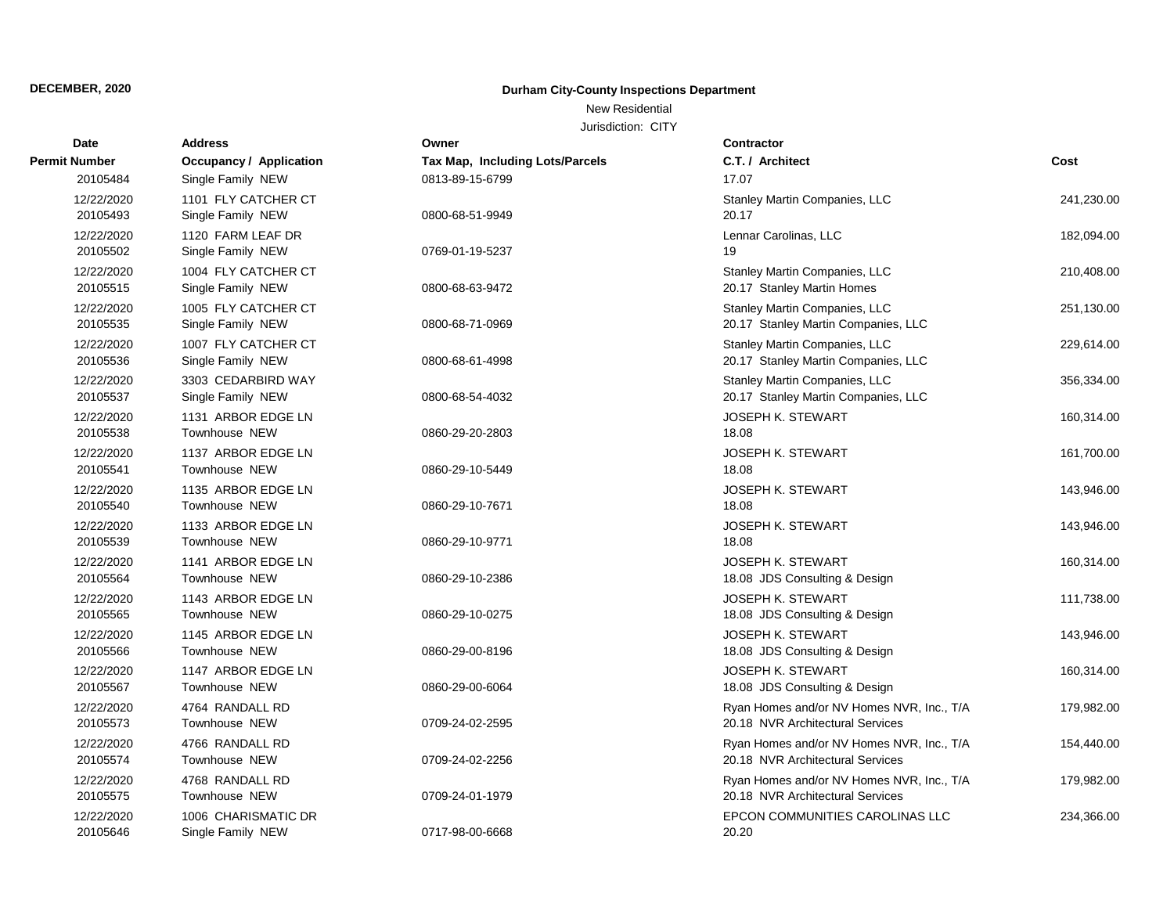## New Residential

| <b>Date</b>            | <b>Address</b>                           | Owner                           | <b>Contractor</b>                                                             |            |
|------------------------|------------------------------------------|---------------------------------|-------------------------------------------------------------------------------|------------|
| Permit Number          | Occupancy / Application                  | Tax Map, Including Lots/Parcels | C.T. / Architect                                                              | Cost       |
| 20105484               | Single Family NEW                        | 0813-89-15-6799                 | 17.07                                                                         |            |
| 12/22/2020<br>20105493 | 1101 FLY CATCHER CT<br>Single Family NEW | 0800-68-51-9949                 | Stanley Martin Companies, LLC<br>20.17                                        | 241,230.00 |
| 12/22/2020<br>20105502 | 1120 FARM LEAF DR<br>Single Family NEW   | 0769-01-19-5237                 | Lennar Carolinas, LLC<br>19                                                   | 182,094.00 |
| 12/22/2020<br>20105515 | 1004 FLY CATCHER CT<br>Single Family NEW | 0800-68-63-9472                 | Stanley Martin Companies, LLC<br>20.17 Stanley Martin Homes                   | 210,408.00 |
| 12/22/2020<br>20105535 | 1005 FLY CATCHER CT<br>Single Family NEW | 0800-68-71-0969                 | Stanley Martin Companies, LLC<br>20.17 Stanley Martin Companies, LLC          | 251,130.00 |
| 12/22/2020<br>20105536 | 1007 FLY CATCHER CT<br>Single Family NEW | 0800-68-61-4998                 | Stanley Martin Companies, LLC<br>20.17 Stanley Martin Companies, LLC          | 229,614.00 |
| 12/22/2020<br>20105537 | 3303 CEDARBIRD WAY<br>Single Family NEW  | 0800-68-54-4032                 | Stanley Martin Companies, LLC<br>20.17 Stanley Martin Companies, LLC          | 356,334.00 |
| 12/22/2020<br>20105538 | 1131 ARBOR EDGE LN<br>Townhouse NEW      | 0860-29-20-2803                 | <b>JOSEPH K. STEWART</b><br>18.08                                             | 160,314.00 |
| 12/22/2020<br>20105541 | 1137 ARBOR EDGE LN<br>Townhouse NEW      | 0860-29-10-5449                 | <b>JOSEPH K. STEWART</b><br>18.08                                             | 161,700.00 |
| 12/22/2020<br>20105540 | 1135 ARBOR EDGE LN<br>Townhouse NEW      | 0860-29-10-7671                 | <b>JOSEPH K. STEWART</b><br>18.08                                             | 143,946.00 |
| 12/22/2020<br>20105539 | 1133 ARBOR EDGE LN<br>Townhouse NEW      | 0860-29-10-9771                 | JOSEPH K. STEWART<br>18.08                                                    | 143,946.00 |
| 12/22/2020<br>20105564 | 1141 ARBOR EDGE LN<br>Townhouse NEW      | 0860-29-10-2386                 | <b>JOSEPH K. STEWART</b><br>18.08 JDS Consulting & Design                     | 160,314.00 |
| 12/22/2020<br>20105565 | 1143 ARBOR EDGE LN<br>Townhouse NEW      | 0860-29-10-0275                 | <b>JOSEPH K. STEWART</b><br>18.08 JDS Consulting & Design                     | 111,738.00 |
| 12/22/2020<br>20105566 | 1145 ARBOR EDGE LN<br>Townhouse NEW      | 0860-29-00-8196                 | <b>JOSEPH K. STEWART</b><br>18.08 JDS Consulting & Design                     | 143,946.00 |
| 12/22/2020<br>20105567 | 1147 ARBOR EDGE LN<br>Townhouse NEW      | 0860-29-00-6064                 | JOSEPH K. STEWART<br>18.08 JDS Consulting & Design                            | 160,314.00 |
| 12/22/2020<br>20105573 | 4764 RANDALL RD<br>Townhouse NEW         | 0709-24-02-2595                 | Ryan Homes and/or NV Homes NVR, Inc., T/A<br>20.18 NVR Architectural Services | 179,982.00 |
| 12/22/2020<br>20105574 | 4766 RANDALL RD<br>Townhouse NEW         | 0709-24-02-2256                 | Ryan Homes and/or NV Homes NVR, Inc., T/A<br>20.18 NVR Architectural Services | 154,440.00 |
| 12/22/2020<br>20105575 | 4768 RANDALL RD<br>Townhouse NEW         | 0709-24-01-1979                 | Ryan Homes and/or NV Homes NVR, Inc., T/A<br>20.18 NVR Architectural Services | 179,982.00 |
| 12/22/2020<br>20105646 | 1006 CHARISMATIC DR<br>Single Family NEW | 0717-98-00-6668                 | EPCON COMMUNITIES CAROLINAS LLC<br>20.20                                      | 234,366.00 |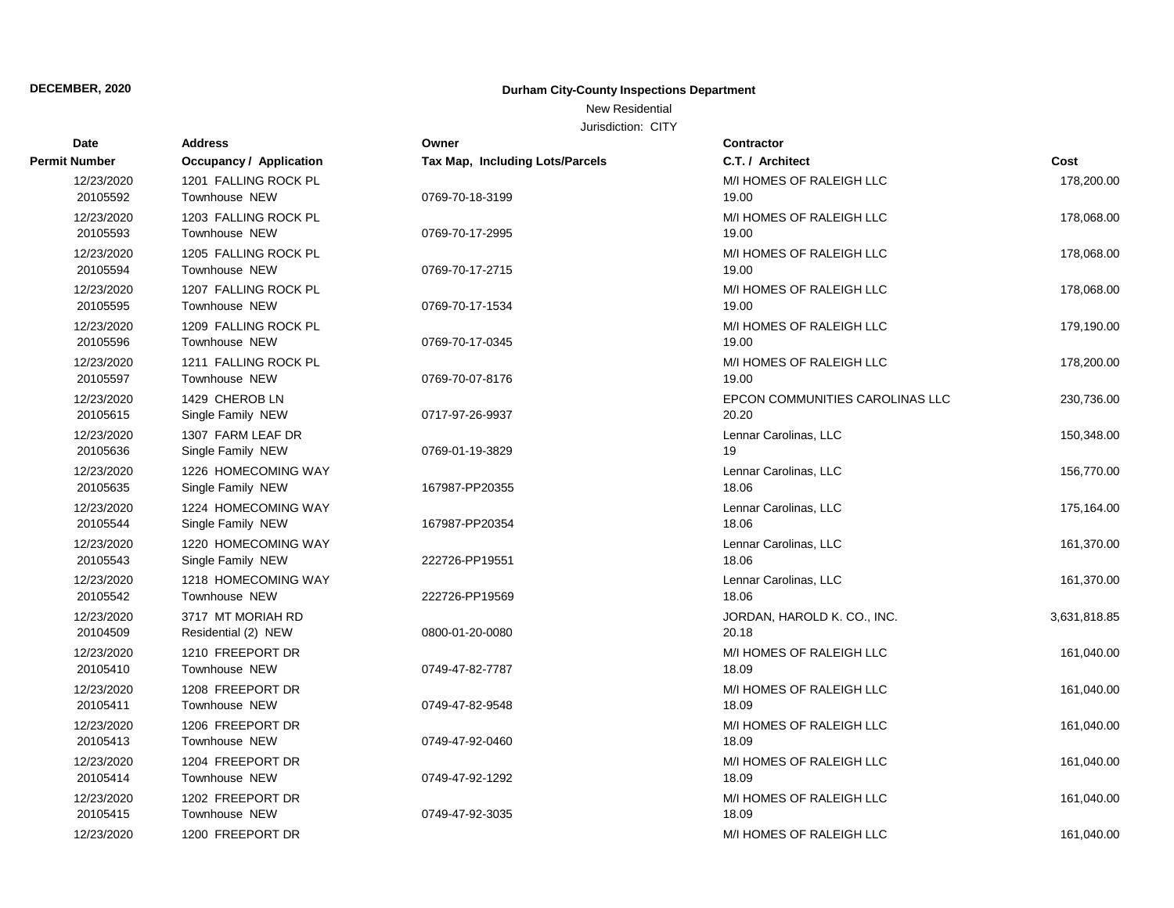New Residential

| Date                   | <b>Address</b>                           | Owner                                  | <b>Contractor</b>                        |              |
|------------------------|------------------------------------------|----------------------------------------|------------------------------------------|--------------|
| Permit Number          | <b>Occupancy / Application</b>           | <b>Tax Map, Including Lots/Parcels</b> | C.T. / Architect                         | Cost         |
| 12/23/2020<br>20105592 | 1201 FALLING ROCK PL<br>Townhouse NEW    | 0769-70-18-3199                        | M/I HOMES OF RALEIGH LLC<br>19.00        | 178,200.00   |
| 12/23/2020<br>20105593 | 1203 FALLING ROCK PL<br>Townhouse NEW    | 0769-70-17-2995                        | M/I HOMES OF RALEIGH LLC<br>19.00        | 178,068.00   |
| 12/23/2020<br>20105594 | 1205 FALLING ROCK PL<br>Townhouse NEW    | 0769-70-17-2715                        | M/I HOMES OF RALEIGH LLC<br>19.00        | 178,068.00   |
| 12/23/2020<br>20105595 | 1207 FALLING ROCK PL<br>Townhouse NEW    | 0769-70-17-1534                        | M/I HOMES OF RALEIGH LLC<br>19.00        | 178,068.00   |
| 12/23/2020<br>20105596 | 1209 FALLING ROCK PL<br>Townhouse NEW    | 0769-70-17-0345                        | M/I HOMES OF RALEIGH LLC<br>19.00        | 179,190.00   |
| 12/23/2020<br>20105597 | 1211 FALLING ROCK PL<br>Townhouse NEW    | 0769-70-07-8176                        | M/I HOMES OF RALEIGH LLC<br>19.00        | 178,200.00   |
| 12/23/2020<br>20105615 | 1429 CHEROB LN<br>Single Family NEW      | 0717-97-26-9937                        | EPCON COMMUNITIES CAROLINAS LLC<br>20.20 | 230,736.00   |
| 12/23/2020<br>20105636 | 1307 FARM LEAF DR<br>Single Family NEW   | 0769-01-19-3829                        | Lennar Carolinas, LLC<br>19              | 150,348.00   |
| 12/23/2020<br>20105635 | 1226 HOMECOMING WAY<br>Single Family NEW | 167987-PP20355                         | Lennar Carolinas, LLC<br>18.06           | 156,770.00   |
| 12/23/2020<br>20105544 | 1224 HOMECOMING WAY<br>Single Family NEW | 167987-PP20354                         | Lennar Carolinas, LLC<br>18.06           | 175,164.00   |
| 12/23/2020<br>20105543 | 1220 HOMECOMING WAY<br>Single Family NEW | 222726-PP19551                         | Lennar Carolinas, LLC<br>18.06           | 161,370.00   |
| 12/23/2020<br>20105542 | 1218 HOMECOMING WAY<br>Townhouse NEW     | 222726-PP19569                         | Lennar Carolinas, LLC<br>18.06           | 161,370.00   |
| 12/23/2020<br>20104509 | 3717 MT MORIAH RD<br>Residential (2) NEW | 0800-01-20-0080                        | JORDAN, HAROLD K. CO., INC.<br>20.18     | 3,631,818.85 |
| 12/23/2020<br>20105410 | 1210 FREEPORT DR<br>Townhouse NEW        | 0749-47-82-7787                        | M/I HOMES OF RALEIGH LLC<br>18.09        | 161,040.00   |
| 12/23/2020<br>20105411 | 1208 FREEPORT DR<br>Townhouse NEW        | 0749-47-82-9548                        | M/I HOMES OF RALEIGH LLC<br>18.09        | 161,040.00   |
| 12/23/2020<br>20105413 | 1206 FREEPORT DR<br>Townhouse NEW        | 0749-47-92-0460                        | M/I HOMES OF RALEIGH LLC<br>18.09        | 161,040.00   |
| 12/23/2020<br>20105414 | 1204 FREEPORT DR<br>Townhouse NEW        | 0749-47-92-1292                        | M/I HOMES OF RALEIGH LLC<br>18.09        | 161,040.00   |
| 12/23/2020<br>20105415 | 1202 FREEPORT DR<br>Townhouse NEW        | 0749-47-92-3035                        | M/I HOMES OF RALEIGH LLC<br>18.09        | 161,040.00   |
| 12/23/2020             | 1200 FREEPORT DR                         |                                        | M/I HOMES OF RALEIGH LLC                 | 161,040.00   |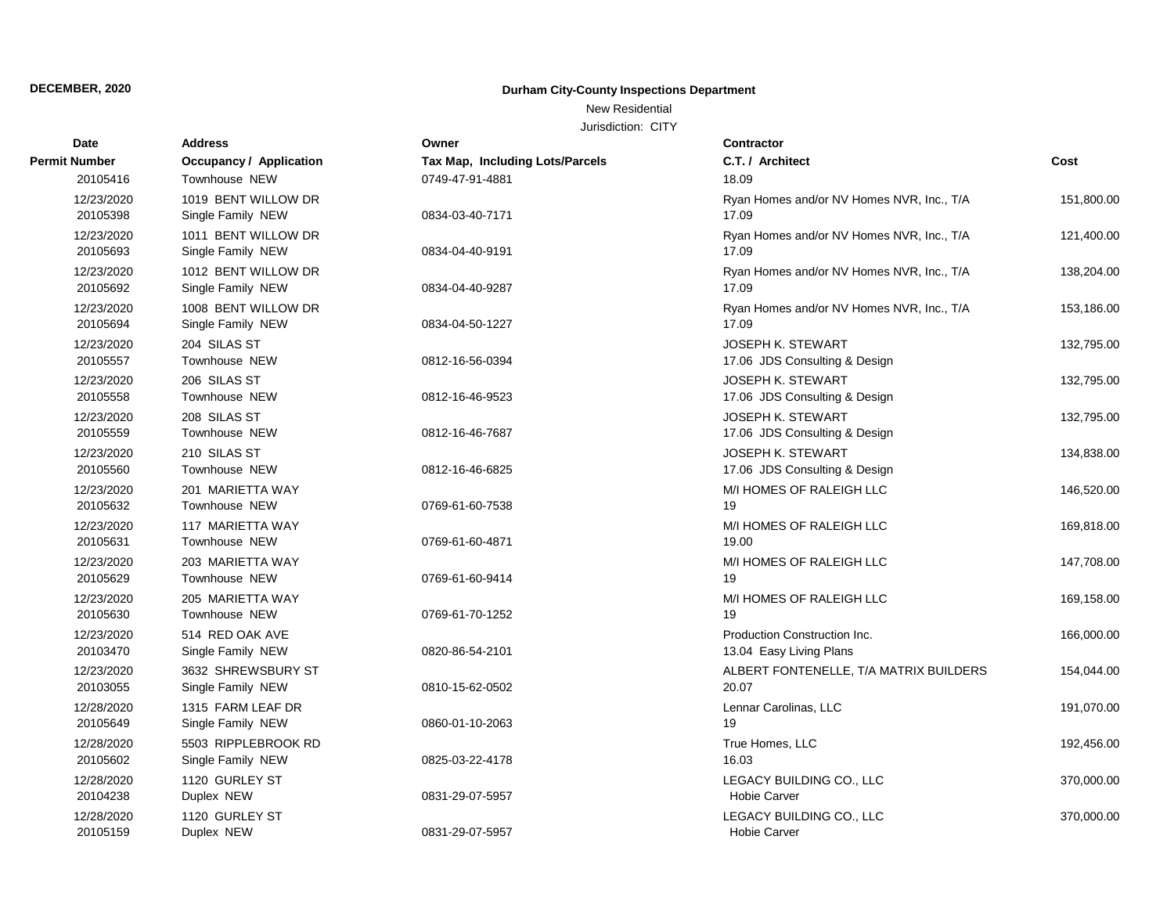## New Residential

| Date                   | <b>Address</b>                           | Owner                                  | <b>Contractor</b>                                         |            |
|------------------------|------------------------------------------|----------------------------------------|-----------------------------------------------------------|------------|
| Permit Number          | Occupancy / Application                  | <b>Tax Map, Including Lots/Parcels</b> | C.T. / Architect                                          | Cost       |
| 20105416               | Townhouse NEW                            | 0749-47-91-4881                        | 18.09                                                     |            |
| 12/23/2020<br>20105398 | 1019 BENT WILLOW DR<br>Single Family NEW | 0834-03-40-7171                        | Ryan Homes and/or NV Homes NVR, Inc., T/A<br>17.09        | 151,800.00 |
| 12/23/2020<br>20105693 | 1011 BENT WILLOW DR<br>Single Family NEW | 0834-04-40-9191                        | Ryan Homes and/or NV Homes NVR, Inc., T/A<br>17.09        | 121,400.00 |
| 12/23/2020<br>20105692 | 1012 BENT WILLOW DR<br>Single Family NEW | 0834-04-40-9287                        | Ryan Homes and/or NV Homes NVR, Inc., T/A<br>17.09        | 138,204.00 |
| 12/23/2020<br>20105694 | 1008 BENT WILLOW DR<br>Single Family NEW | 0834-04-50-1227                        | Ryan Homes and/or NV Homes NVR, Inc., T/A<br>17.09        | 153,186.00 |
| 12/23/2020<br>20105557 | 204 SILAS ST<br>Townhouse NEW            | 0812-16-56-0394                        | <b>JOSEPH K. STEWART</b><br>17.06 JDS Consulting & Design | 132,795.00 |
| 12/23/2020<br>20105558 | 206 SILAS ST<br>Townhouse NEW            | 0812-16-46-9523                        | <b>JOSEPH K. STEWART</b><br>17.06 JDS Consulting & Design | 132,795.00 |
| 12/23/2020<br>20105559 | 208 SILAS ST<br>Townhouse NEW            | 0812-16-46-7687                        | <b>JOSEPH K. STEWART</b><br>17.06 JDS Consulting & Design | 132,795.00 |
| 12/23/2020<br>20105560 | 210 SILAS ST<br>Townhouse NEW            | 0812-16-46-6825                        | <b>JOSEPH K. STEWART</b><br>17.06 JDS Consulting & Design | 134,838.00 |
| 12/23/2020<br>20105632 | 201 MARIETTA WAY<br>Townhouse NEW        | 0769-61-60-7538                        | M/I HOMES OF RALEIGH LLC<br>19                            | 146,520.00 |
| 12/23/2020<br>20105631 | 117 MARIETTA WAY<br>Townhouse NEW        | 0769-61-60-4871                        | M/I HOMES OF RALEIGH LLC<br>19.00                         | 169,818.00 |
| 12/23/2020<br>20105629 | 203 MARIETTA WAY<br>Townhouse NEW        | 0769-61-60-9414                        | M/I HOMES OF RALEIGH LLC<br>19                            | 147,708.00 |
| 12/23/2020<br>20105630 | 205 MARIETTA WAY<br>Townhouse NEW        | 0769-61-70-1252                        | M/I HOMES OF RALEIGH LLC<br>19                            | 169,158.00 |
| 12/23/2020<br>20103470 | 514 RED OAK AVE<br>Single Family NEW     | 0820-86-54-2101                        | Production Construction Inc.<br>13.04 Easy Living Plans   | 166,000.00 |
| 12/23/2020<br>20103055 | 3632 SHREWSBURY ST<br>Single Family NEW  | 0810-15-62-0502                        | ALBERT FONTENELLE, T/A MATRIX BUILDERS<br>20.07           | 154,044.00 |
| 12/28/2020<br>20105649 | 1315 FARM LEAF DR<br>Single Family NEW   | 0860-01-10-2063                        | Lennar Carolinas, LLC<br>19                               | 191,070.00 |
| 12/28/2020<br>20105602 | 5503 RIPPLEBROOK RD<br>Single Family NEW | 0825-03-22-4178                        | True Homes, LLC<br>16.03                                  | 192,456.00 |
| 12/28/2020<br>20104238 | 1120 GURLEY ST<br>Duplex NEW             | 0831-29-07-5957                        | LEGACY BUILDING CO., LLC<br><b>Hobie Carver</b>           | 370,000.00 |
| 12/28/2020<br>20105159 | 1120 GURLEY ST<br>Duplex NEW             | 0831-29-07-5957                        | LEGACY BUILDING CO., LLC<br><b>Hobie Carver</b>           | 370,000.00 |